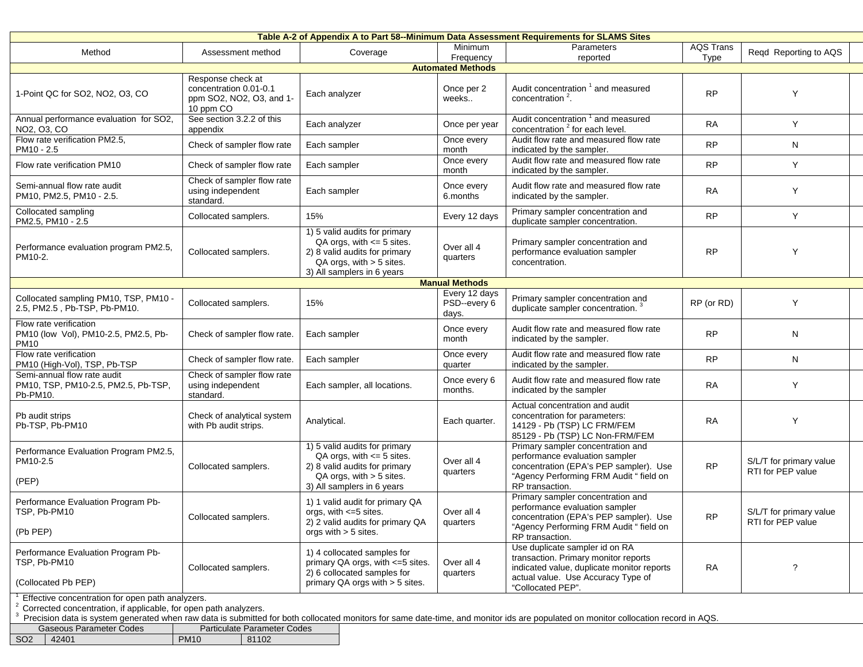| Table A-2 of Appendix A to Part 58--Minimum Data Assessment Requirements for SLAMS Sites                                          |                                                                                      |                                                                                                                                                                 |                                        |                                                                                                                                                                                                 |                          |                                              |  |  |
|-----------------------------------------------------------------------------------------------------------------------------------|--------------------------------------------------------------------------------------|-----------------------------------------------------------------------------------------------------------------------------------------------------------------|----------------------------------------|-------------------------------------------------------------------------------------------------------------------------------------------------------------------------------------------------|--------------------------|----------------------------------------------|--|--|
| Method                                                                                                                            | Assessment method                                                                    | Coverage                                                                                                                                                        | Minimum<br>Frequency                   | Parameters<br>reported                                                                                                                                                                          | <b>AQS Trans</b><br>Type | Regd Reporting to AQS                        |  |  |
|                                                                                                                                   |                                                                                      |                                                                                                                                                                 | <b>Automated Methods</b>               |                                                                                                                                                                                                 |                          |                                              |  |  |
| 1-Point QC for SO2, NO2, O3, CO                                                                                                   | Response check at<br>concentration 0.01-0.1<br>ppm SO2, NO2, O3, and 1-<br>10 ppm CO | Each analyzer                                                                                                                                                   | Once per 2<br>weeks                    | Audit concentration <sup>1</sup> and measured<br>concentration <sup>2</sup> .                                                                                                                   | <b>RP</b>                | Y                                            |  |  |
| Annual performance evaluation for SO2,<br>NO2, O3, CO                                                                             | See section 3.2.2 of this<br>appendix                                                | Each analyzer                                                                                                                                                   | Once per year                          | Audit concentration 1 and measured<br>concentration <sup>2</sup> for each level.                                                                                                                | <b>RA</b>                | Y                                            |  |  |
| Flow rate verification PM2.5,<br>PM10 - 2.5                                                                                       | Check of sampler flow rate                                                           | Each sampler                                                                                                                                                    | Once every<br>month                    | Audit flow rate and measured flow rate<br>indicated by the sampler.                                                                                                                             | <b>RP</b>                | N                                            |  |  |
| Flow rate verification PM10                                                                                                       | Check of sampler flow rate                                                           | Each sampler                                                                                                                                                    | Once every<br>month                    | Audit flow rate and measured flow rate<br>indicated by the sampler.                                                                                                                             | <b>RP</b>                | Y                                            |  |  |
| Semi-annual flow rate audit<br>PM10, PM2.5, PM10 - 2.5.                                                                           | Check of sampler flow rate<br>using independent<br>standard.                         | Each sampler                                                                                                                                                    | Once every<br>6.months                 | Audit flow rate and measured flow rate<br>indicated by the sampler.                                                                                                                             | <b>RA</b>                | Y                                            |  |  |
| Collocated sampling<br>PM2.5, PM10 - 2.5                                                                                          | Collocated samplers.                                                                 | 15%                                                                                                                                                             | Every 12 days                          | Primary sampler concentration and<br>duplicate sampler concentration.                                                                                                                           | <b>RP</b>                | Y                                            |  |  |
| Performance evaluation program PM2.5,<br>PM10-2.                                                                                  | Collocated samplers.                                                                 | 1) 5 valid audits for primary<br>$QA$ orgs, with $\leq 5$ sites.<br>2) 8 valid audits for primary<br>$QA$ orgs, with $> 5$ sites.<br>3) All samplers in 6 years | Over all 4<br>quarters                 | Primary sampler concentration and<br>performance evaluation sampler<br>concentration.                                                                                                           | <b>RP</b>                | Y                                            |  |  |
|                                                                                                                                   |                                                                                      |                                                                                                                                                                 | <b>Manual Methods</b>                  |                                                                                                                                                                                                 |                          |                                              |  |  |
| Collocated sampling PM10, TSP, PM10 -<br>2.5, PM2.5, Pb-TSP, Pb-PM10.                                                             | Collocated samplers.                                                                 | 15%                                                                                                                                                             | Every 12 days<br>PSD--every 6<br>days. | Primary sampler concentration and<br>duplicate sampler concentration. <sup>3</sup>                                                                                                              | RP (or RD)               | Y                                            |  |  |
| Flow rate verification<br>PM10 (low Vol), PM10-2.5, PM2.5, Pb-<br><b>PM10</b>                                                     | Check of sampler flow rate.                                                          | Each sampler                                                                                                                                                    | Once every<br>month                    | Audit flow rate and measured flow rate<br>indicated by the sampler.                                                                                                                             | <b>RP</b>                | N                                            |  |  |
| Flow rate verification<br>PM10 (High-Vol), TSP, Pb-TSP                                                                            | Check of sampler flow rate.                                                          | Each sampler                                                                                                                                                    | Once every<br>quarter                  | Audit flow rate and measured flow rate<br>indicated by the sampler.                                                                                                                             | <b>RP</b>                | N                                            |  |  |
| Semi-annual flow rate audit<br>PM10, TSP, PM10-2.5, PM2.5, Pb-TSP,<br>Pb-PM10.                                                    | Check of sampler flow rate<br>using independent<br>standard.                         | Each sampler, all locations.                                                                                                                                    | Once every 6<br>months.                | Audit flow rate and measured flow rate<br>indicated by the sampler                                                                                                                              | <b>RA</b>                | Y                                            |  |  |
| Pb audit strips<br>Pb-TSP, Pb-PM10                                                                                                | Check of analytical system<br>with Pb audit strips.                                  | Analytical.                                                                                                                                                     | Each quarter.                          | Actual concentration and audit<br>concentration for parameters:<br>14129 - Pb (TSP) LC FRM/FEM<br>85129 - Pb (TSP) LC Non-FRM/FEM                                                               | <b>RA</b>                | Y                                            |  |  |
| Performance Evaluation Program PM2.5,<br>PM10-2.5<br>(PEP)                                                                        | Collocated samplers.                                                                 | 1) 5 valid audits for primary<br>$QA$ orgs, with $\leq$ 5 sites.<br>2) 8 valid audits for primary<br>$QA$ orgs, with $> 5$ sites.<br>3) All samplers in 6 years | Over all 4<br>quarters                 | Primary sampler concentration and<br>performance evaluation sampler<br>concentration (EPA's PEP sampler). Use<br>"Agency Performing FRM Audit " field on<br>RP transaction.                     | <b>RP</b>                | S/L/T for primary value<br>RTI for PEP value |  |  |
| Performance Evaluation Program Pb-<br>TSP, Pb-PM10<br>(Pb PEP)                                                                    | Collocated samplers.                                                                 | 1) 1 valid audit for primary QA<br>orgs, with $\leq 5$ sites.<br>2) 2 valid audits for primary QA<br>orgs with $>$ 5 sites.                                     | Over all 4<br>quarters                 | Primary sampler concentration and<br>performance evaluation sampler<br>concentration (EPA's PEP sampler). Use<br>"Agency Performing FRM Audit " field on<br>RP transaction.                     | <b>RP</b>                | S/L/T for primary value<br>RTI for PEP value |  |  |
| Performance Evaluation Program Pb-<br>TSP, Pb-PM10<br>(Collocated Pb PEP)                                                         | Collocated samplers.                                                                 | 1) 4 collocated samples for<br>primary QA orgs, with <= 5 sites.<br>2) 6 collocated samples for<br>primary QA orgs with $>$ 5 sites.                            | Over all 4<br>quarters                 | Use duplicate sampler id on RA<br>transaction. Primary monitor reports<br>indicated value, duplicate monitor reports<br>actual value. Use Accuracy Type of<br>"Collocated PEP".                 | <b>RA</b>                | $\gamma$                                     |  |  |
| Effective concentration for open path analyzers.<br><sup>2</sup> Corrected concentration, if applicable, for open path analyzers. |                                                                                      |                                                                                                                                                                 |                                        | <sup>3</sup> Precision data is system generated when raw data is submitted for both collocated monitors for same date-time, and monitor ids are populated on monitor collocation record in AQS. |                          |                                              |  |  |

| <b>Gaseous Parameter Codes</b> |       | Particulate Parameter Codes |       |  |
|--------------------------------|-------|-----------------------------|-------|--|
| SO <sub>2</sub>                | 42401 | <b>PM10</b>                 | 81102 |  |